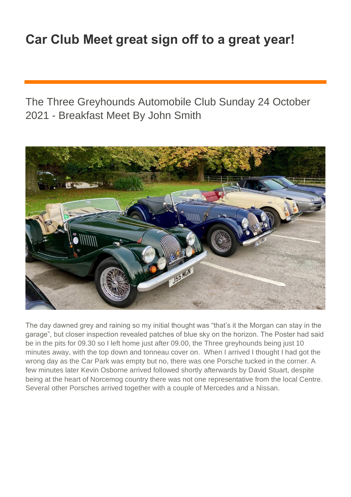## **Car Club Meet great sign off to a great year!**

The Three Greyhounds Automobile Club Sunday 24 October 2021 - Breakfast Meet By John Smith



The day dawned grey and raining so my initial thought was "that's it the Morgan can stay in the garage", but closer inspection revealed patches of blue sky on the horizon. The Poster had said be in the pits for 09.30 so I left home just after 09.00, the Three greyhounds being just 10 minutes away, with the top down and tonneau cover on. When I arrived I thought I had got the wrong day as the Car Park was empty but no, there was one Porsche tucked in the corner. A few minutes later Kevin Osborne arrived followed shortly afterwards by David Stuart, despite being at the heart of Norcemog country there was not one representative from the local Centre. Several other Porsches arrived together with a couple of Mercedes and a Nissan.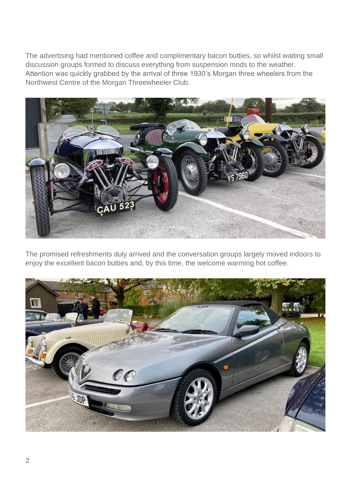The advertising had mentioned coffee and complimentary bacon butties, so whilst waiting small discussion groups formed to discuss everything from suspension mods to the weather. Attention was quickly grabbed by the arrival of three 1930's Morgan three wheelers from the Northwest Centre of the Morgan Threewheeler Club.



The promised refreshments duly arrived and the conversation groups largely moved indoors to enjoy the excellent bacon butties and, by this time, the welcome warming hot coffee.